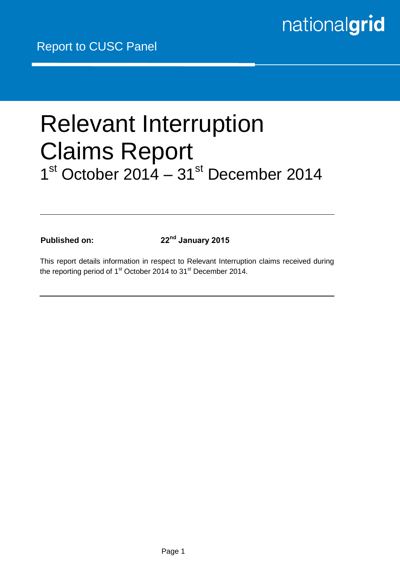# Relevant Interruption Claims Report 1<sup>st</sup> October 2014 – 31<sup>st</sup> December 2014

**Published on: 22nd January 2015**

This report details information in respect to Relevant Interruption claims received during the reporting period of 1<sup>st</sup> October 2014 to 31<sup>st</sup> December 2014.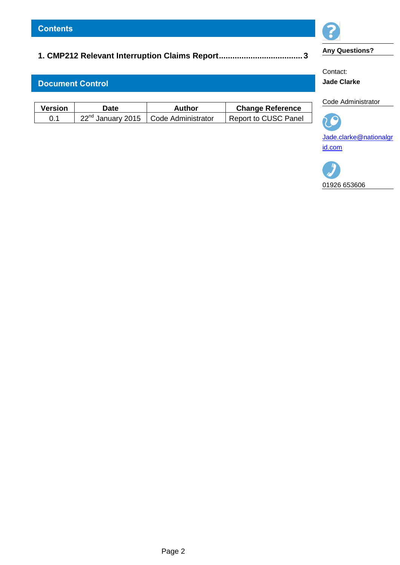# **[1. CMP212 Relevant Interruption Claims Report.....................................](#page-2-0) 3**

# **Document Control**

| <b>Version</b> | Date | Author                                             | <b>Change Reference</b>     |
|----------------|------|----------------------------------------------------|-----------------------------|
| 0.1            |      | 22 <sup>nd</sup> January 2015   Code Administrator | <b>Report to CUSC Panel</b> |



# **Any Questions?**

Contact: **Jade Clarke**

Code Administrator

 $\overline{C}$ [Jade.clarke@nationalgr](mailto:Jade.clarke@nationalgrid.com) [id.com](mailto:Jade.clarke@nationalgrid.com)

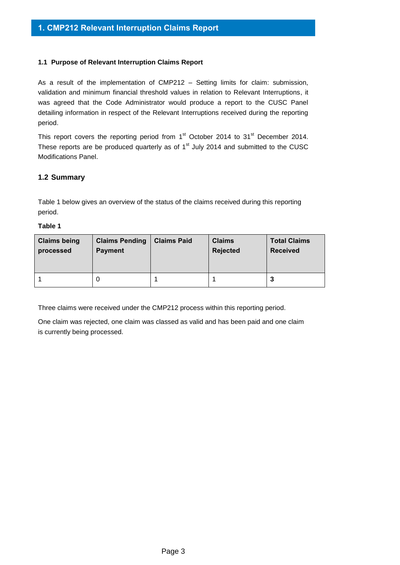### <span id="page-2-0"></span>**1.1 Purpose of Relevant Interruption Claims Report**

As a result of the implementation of CMP212 – Setting limits for claim: submission, validation and minimum financial threshold values in relation to Relevant Interruptions, it was agreed that the Code Administrator would produce a report to the CUSC Panel detailing information in respect of the Relevant Interruptions received during the reporting period.

This report covers the reporting period from  $1<sup>st</sup>$  October 2014 to  $31<sup>st</sup>$  December 2014. These reports are be produced quarterly as of  $1<sup>st</sup>$  July 2014 and submitted to the CUSC Modifications Panel.

# **1.2 Summary**

Table 1 below gives an overview of the status of the claims received during this reporting period.

#### **Table 1**

| <b>Claims being</b> | <b>Claims Pending</b> | <b>Claims Paid</b> | <b>Claims</b>   | <b>Total Claims</b> |
|---------------------|-----------------------|--------------------|-----------------|---------------------|
| processed           | <b>Payment</b>        |                    | <b>Rejected</b> | <b>Received</b>     |
|                     | O                     |                    |                 | 3                   |

Three claims were received under the CMP212 process within this reporting period.

One claim was rejected, one claim was classed as valid and has been paid and one claim is currently being processed.